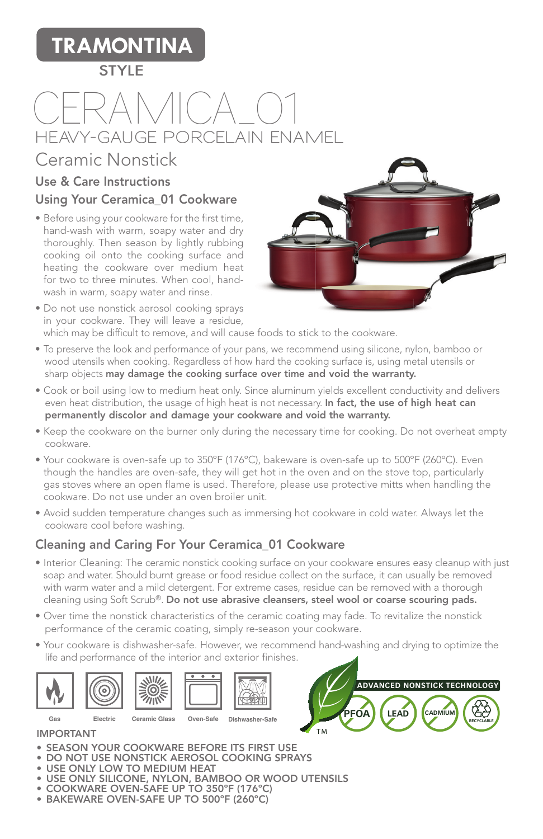# **TRAMONTINA**

#### **STYLE**

# CERAMICA 01  **HEAVY-GAUGE PORCELAIN ENAMEL**

## Ceramic Nonstick

#### Use & Care Instructions Using Your Ceramica\_01 Cookware

- Before using your cookware for the first time, hand-wash with warm, soapy water and dry thoroughly. Then season by lightly rubbing cooking oil onto the cooking surface and heating the cookware over medium heat for two to three minutes. When cool, handwash in warm, soapy water and rinse.
- 
- Do not use nonstick aerosol cooking sprays in your cookware. They will leave a residue, which may be difficult to remove, and will cause foods to stick to the cookware.
- To preserve the look and performance of your pans, we recommend using silicone, nylon, bamboo or wood utensils when cooking. Regardless of how hard the cooking surface is, using metal utensils or sharp objects may damage the cooking surface over time and void the warranty.
- Cook or boil using low to medium heat only. Since aluminum yields excellent conductivity and delivers even heat distribution, the usage of high heat is not necessary. In fact, the use of high heat can permanently discolor and damage your cookware and void the warranty.
- Keep the cookware on the burner only during the necessary time for cooking. Do not overheat empty cookware.
- Your cookware is oven-safe up to 350ºF (176ºC), bakeware is oven-safe up to 500ºF (260ºC). Even though the handles are oven-safe, they will get hot in the oven and on the stove top, particularly gas stoves where an open flame is used. Therefore, please use protective mitts when handling the cookware. Do not use under an oven broiler unit.
- Avoid sudden temperature changes such as immersing hot cookware in cold water. Always let the cookware cool before washing.

### Cleaning and Caring For Your Ceramica\_01 Cookware

- Interior Cleaning: The ceramic nonstick cooking surface on your cookware ensures easy cleanup with just soap and water. Should burnt grease or food residue collect on the surface, it can usually be removed with warm water and a mild detergent. For extreme cases, residue can be removed with a thorough cleaning using Soft Scrub®. Do not use abrasive cleansers, steel wool or coarse scouring pads.
- Over time the nonstick characteristics of the ceramic coating may fade. To revitalize the nonstick performance of the ceramic coating, simply re-season your cookware.
- Your cookware is dishwasher-safe. However, we recommend hand-washing and drying to optimize the life and performance of the interior and exterior finishes.





IMPORTANT

- SEASON YOUR COOKWARE BEFORE ITS FIRST USE
- DO NOT USE NONSTICK AEROSOL COOKING SPRAYS
- USE ONLY LOW TO MEDIUM HEAT
- USE ONLY SILICONE, NYLON, BAMBOO OR WOOD UTENSILS
- COOKWARE OVEN-SAFE UP TO 350ºF (176ºC)
- BAKEWARE OVEN-SAFE UP TO 500ºF (260ºC)